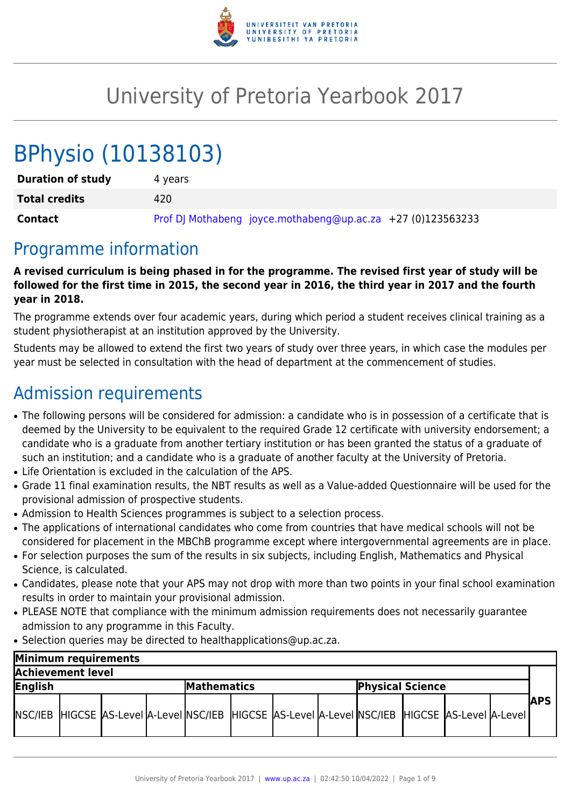

# University of Pretoria Yearbook 2017

# BPhysio (10138103)

| <b>Duration of study</b> | 4 vears                                                     |
|--------------------------|-------------------------------------------------------------|
| <b>Total credits</b>     | 420                                                         |
| <b>Contact</b>           | Prof DJ Mothabeng joyce.mothabeng@up.ac.za +27 (0)123563233 |

### Programme information

**A revised curriculum is being phased in for the programme. The revised first year of study will be followed for the first time in 2015, the second year in 2016, the third year in 2017 and the fourth year in 2018.**

The programme extends over four academic years, during which period a student receives clinical training as a student physiotherapist at an institution approved by the University.

Students may be allowed to extend the first two years of study over three years, in which case the modules per year must be selected in consultation with the head of department at the commencement of studies.

# Admission requirements

- The following persons will be considered for admission: a candidate who is in possession of a certificate that is deemed by the University to be equivalent to the required Grade 12 certificate with university endorsement; a candidate who is a graduate from another tertiary institution or has been granted the status of a graduate of such an institution; and a candidate who is a graduate of another faculty at the University of Pretoria.
- Life Orientation is excluded in the calculation of the APS.
- Grade 11 final examination results, the NBT results as well as a Value-added Questionnaire will be used for the provisional admission of prospective students.
- Admission to Health Sciences programmes is subject to a selection process.
- The applications of international candidates who come from countries that have medical schools will not be considered for placement in the MBChB programme except where intergovernmental agreements are in place.
- For selection purposes the sum of the results in six subjects, including English, Mathematics and Physical Science, is calculated.
- Candidates, please note that your APS may not drop with more than two points in your final school examination results in order to maintain your provisional admission.
- PLEASE NOTE that compliance with the minimum admission requirements does not necessarily guarantee admission to any programme in this Faculty.
- Selection queries may be directed to healthapplications@up.ac.za.

| Minimum requirements |  |  |  |                    |  |                                                                                                            |  |                         |  |  |  |               |
|----------------------|--|--|--|--------------------|--|------------------------------------------------------------------------------------------------------------|--|-------------------------|--|--|--|---------------|
| Achievement level    |  |  |  |                    |  |                                                                                                            |  |                         |  |  |  |               |
| English              |  |  |  | <b>Mathematics</b> |  |                                                                                                            |  | <b>Physical Science</b> |  |  |  |               |
|                      |  |  |  |                    |  | NSC/IEB  HIGCSE  AS-Level  A-Level  NSC/IEB  HIGCSE  AS-Level  A-Level  NSC/IEB  HIGCSE  AS-Level  A-Level |  |                         |  |  |  | <b>IAPS I</b> |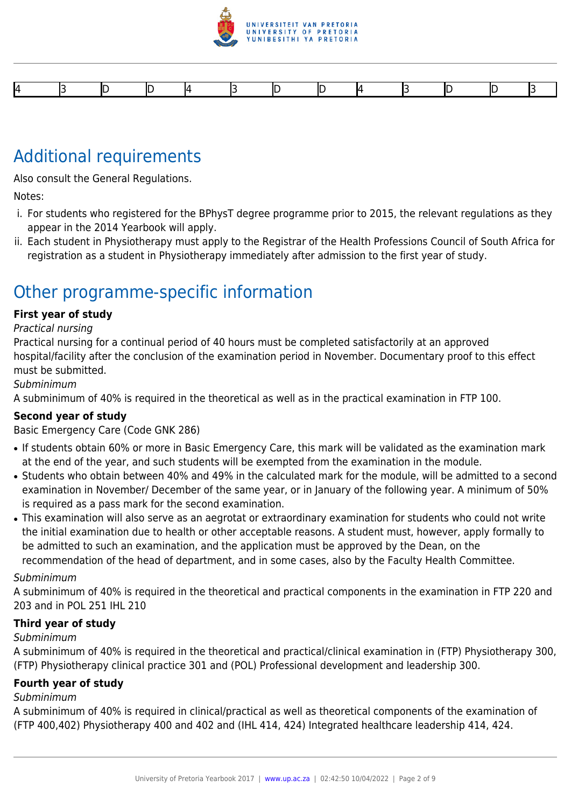

# Additional requirements

Also consult the General Regulations.

Notes:

- i. For students who registered for the BPhysT degree programme prior to 2015, the relevant regulations as they appear in the 2014 Yearbook will apply.
- ii. Each student in Physiotherapy must apply to the Registrar of the Health Professions Council of South Africa for registration as a student in Physiotherapy immediately after admission to the first year of study.

# Other programme-specific information

#### **First year of study**

Practical nursing

Practical nursing for a continual period of 40 hours must be completed satisfactorily at an approved hospital/facility after the conclusion of the examination period in November. Documentary proof to this effect must be submitted.

Subminimum

A subminimum of 40% is required in the theoretical as well as in the practical examination in FTP 100.

#### **Second year of study**

Basic Emergency Care (Code GNK 286)

- If students obtain 60% or more in Basic Emergency Care, this mark will be validated as the examination mark at the end of the year, and such students will be exempted from the examination in the module.
- Students who obtain between 40% and 49% in the calculated mark for the module, will be admitted to a second examination in November/ December of the same year, or in January of the following year. A minimum of 50% is required as a pass mark for the second examination.
- This examination will also serve as an aegrotat or extraordinary examination for students who could not write the initial examination due to health or other acceptable reasons. A student must, however, apply formally to be admitted to such an examination, and the application must be approved by the Dean, on the recommendation of the head of department, and in some cases, also by the Faculty Health Committee.

#### Subminimum

A subminimum of 40% is required in the theoretical and practical components in the examination in FTP 220 and 203 and in POL 251 IHL 210

#### **Third year of study**

#### Subminimum

A subminimum of 40% is required in the theoretical and practical/clinical examination in (FTP) Physiotherapy 300, (FTP) Physiotherapy clinical practice 301 and (POL) Professional development and leadership 300.

#### **Fourth year of study**

#### Subminimum

A subminimum of 40% is required in clinical/practical as well as theoretical components of the examination of (FTP 400,402) Physiotherapy 400 and 402 and (IHL 414, 424) Integrated healthcare leadership 414, 424.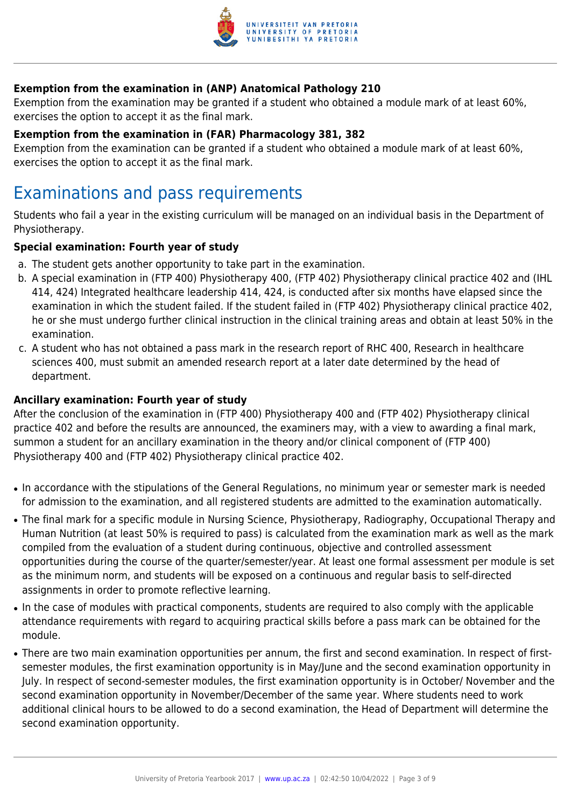

### **Exemption from the examination in (ANP) Anatomical Pathology 210**

Exemption from the examination may be granted if a student who obtained a module mark of at least 60%, exercises the option to accept it as the final mark.

#### **Exemption from the examination in (FAR) Pharmacology 381, 382**

Exemption from the examination can be granted if a student who obtained a module mark of at least 60%, exercises the option to accept it as the final mark.

### Examinations and pass requirements

Students who fail a year in the existing curriculum will be managed on an individual basis in the Department of Physiotherapy.

#### **Special examination: Fourth year of study**

- a. The student gets another opportunity to take part in the examination.
- b. A special examination in (FTP 400) Physiotherapy 400, (FTP 402) Physiotherapy clinical practice 402 and (IHL 414, 424) Integrated healthcare leadership 414, 424, is conducted after six months have elapsed since the examination in which the student failed. If the student failed in (FTP 402) Physiotherapy clinical practice 402, he or she must undergo further clinical instruction in the clinical training areas and obtain at least 50% in the examination.
- c. A student who has not obtained a pass mark in the research report of RHC 400, Research in healthcare sciences 400, must submit an amended research report at a later date determined by the head of department.

#### **Ancillary examination: Fourth year of study**

After the conclusion of the examination in (FTP 400) Physiotherapy 400 and (FTP 402) Physiotherapy clinical practice 402 and before the results are announced, the examiners may, with a view to awarding a final mark, summon a student for an ancillary examination in the theory and/or clinical component of (FTP 400) Physiotherapy 400 and (FTP 402) Physiotherapy clinical practice 402.

- In accordance with the stipulations of the General Regulations, no minimum year or semester mark is needed for admission to the examination, and all registered students are admitted to the examination automatically.
- The final mark for a specific module in Nursing Science, Physiotherapy, Radiography, Occupational Therapy and Human Nutrition (at least 50% is required to pass) is calculated from the examination mark as well as the mark compiled from the evaluation of a student during continuous, objective and controlled assessment opportunities during the course of the quarter/semester/year. At least one formal assessment per module is set as the minimum norm, and students will be exposed on a continuous and regular basis to self-directed assignments in order to promote reflective learning.
- In the case of modules with practical components, students are required to also comply with the applicable attendance requirements with regard to acquiring practical skills before a pass mark can be obtained for the module.
- There are two main examination opportunities per annum, the first and second examination. In respect of firstsemester modules, the first examination opportunity is in May/June and the second examination opportunity in July. In respect of second-semester modules, the first examination opportunity is in October/ November and the second examination opportunity in November/December of the same year. Where students need to work additional clinical hours to be allowed to do a second examination, the Head of Department will determine the second examination opportunity.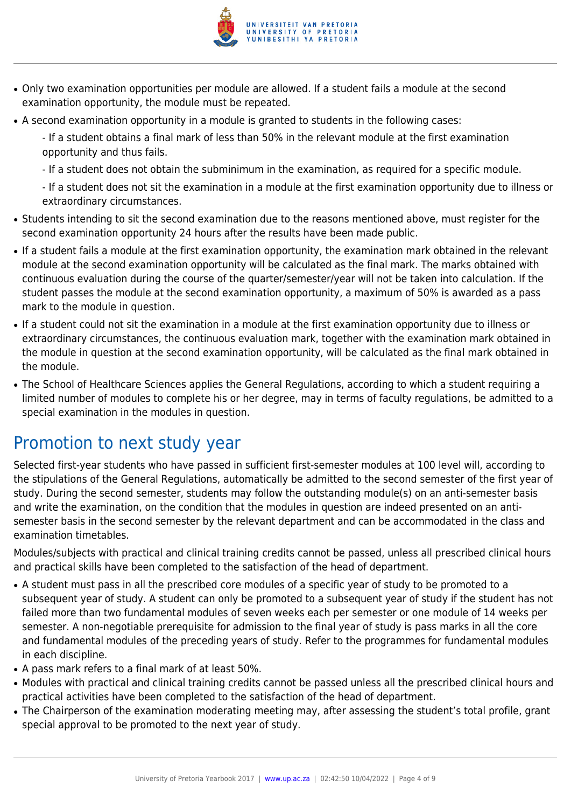

- Only two examination opportunities per module are allowed. If a student fails a module at the second examination opportunity, the module must be repeated.
- A second examination opportunity in a module is granted to students in the following cases:

- If a student obtains a final mark of less than 50% in the relevant module at the first examination opportunity and thus fails.

- If a student does not obtain the subminimum in the examination, as required for a specific module.

- If a student does not sit the examination in a module at the first examination opportunity due to illness or extraordinary circumstances.

- Students intending to sit the second examination due to the reasons mentioned above, must register for the second examination opportunity 24 hours after the results have been made public.
- If a student fails a module at the first examination opportunity, the examination mark obtained in the relevant module at the second examination opportunity will be calculated as the final mark. The marks obtained with continuous evaluation during the course of the quarter/semester/year will not be taken into calculation. If the student passes the module at the second examination opportunity, a maximum of 50% is awarded as a pass mark to the module in question.
- If a student could not sit the examination in a module at the first examination opportunity due to illness or extraordinary circumstances, the continuous evaluation mark, together with the examination mark obtained in the module in question at the second examination opportunity, will be calculated as the final mark obtained in the module.
- The School of Healthcare Sciences applies the General Regulations, according to which a student requiring a limited number of modules to complete his or her degree, may in terms of faculty regulations, be admitted to a special examination in the modules in question.

# Promotion to next study year

Selected first-year students who have passed in sufficient first-semester modules at 100 level will, according to the stipulations of the General Regulations, automatically be admitted to the second semester of the first year of study. During the second semester, students may follow the outstanding module(s) on an anti-semester basis and write the examination, on the condition that the modules in question are indeed presented on an antisemester basis in the second semester by the relevant department and can be accommodated in the class and examination timetables.

Modules/subjects with practical and clinical training credits cannot be passed, unless all prescribed clinical hours and practical skills have been completed to the satisfaction of the head of department.

- A student must pass in all the prescribed core modules of a specific year of study to be promoted to a subsequent year of study. A student can only be promoted to a subsequent year of study if the student has not failed more than two fundamental modules of seven weeks each per semester or one module of 14 weeks per semester. A non-negotiable prerequisite for admission to the final year of study is pass marks in all the core and fundamental modules of the preceding years of study. Refer to the programmes for fundamental modules in each discipline.
- A pass mark refers to a final mark of at least 50%.
- Modules with practical and clinical training credits cannot be passed unless all the prescribed clinical hours and practical activities have been completed to the satisfaction of the head of department.
- The Chairperson of the examination moderating meeting may, after assessing the student's total profile, grant special approval to be promoted to the next year of study.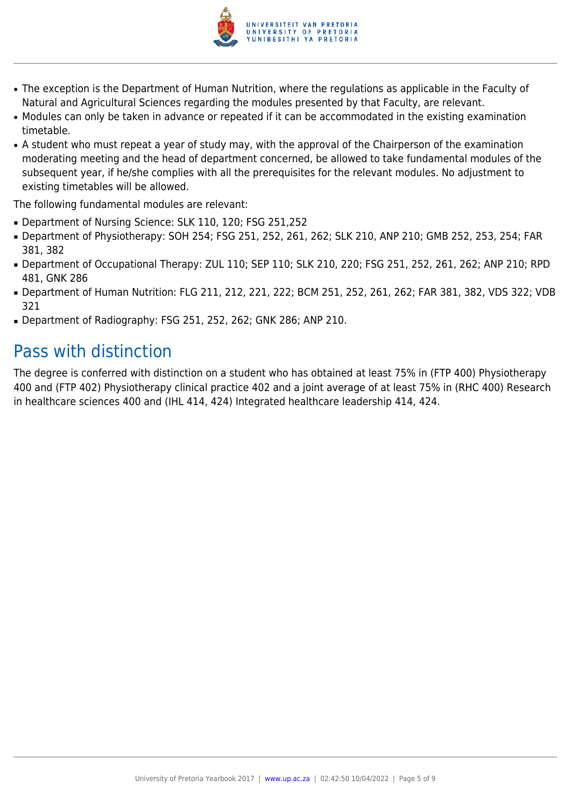

- The exception is the Department of Human Nutrition, where the regulations as applicable in the Faculty of Natural and Agricultural Sciences regarding the modules presented by that Faculty, are relevant.
- Modules can only be taken in advance or repeated if it can be accommodated in the existing examination timetable.
- A student who must repeat a year of study may, with the approval of the Chairperson of the examination moderating meeting and the head of department concerned, be allowed to take fundamental modules of the subsequent year, if he/she complies with all the prerequisites for the relevant modules. No adjustment to existing timetables will be allowed.

The following fundamental modules are relevant:

- Department of Nursing Science: SLK 110, 120; FSG 251,252
- Department of Physiotherapy: SOH 254; FSG 251, 252, 261, 262; SLK 210, ANP 210; GMB 252, 253, 254; FAR 381, 382
- Department of Occupational Therapy: ZUL 110; SEP 110; SLK 210, 220; FSG 251, 252, 261, 262; ANP 210; RPD 481, GNK 286
- Department of Human Nutrition: FLG 211, 212, 221, 222; BCM 251, 252, 261, 262; FAR 381, 382, VDS 322; VDB 321
- Department of Radiography: FSG 251, 252, 262; GNK 286; ANP 210.

# Pass with distinction

The degree is conferred with distinction on a student who has obtained at least 75% in (FTP 400) Physiotherapy 400 and (FTP 402) Physiotherapy clinical practice 402 and a joint average of at least 75% in (RHC 400) Research in healthcare sciences 400 and (IHL 414, 424) Integrated healthcare leadership 414, 424.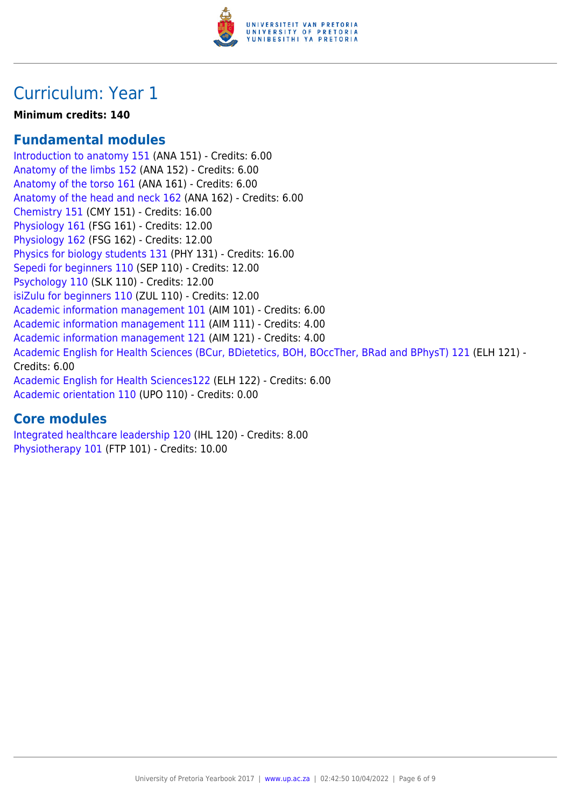

## Curriculum: Year 1

### **Minimum credits: 140**

### **Fundamental modules**

[Introduction to anatomy 151](https://www.up.ac.za/yearbooks/2017/modules/view/ANA 151) (ANA 151) - Credits: 6.00 [Anatomy of the limbs 152](https://www.up.ac.za/yearbooks/2017/modules/view/ANA 152) (ANA 152) - Credits: 6.00 [Anatomy of the torso 161](https://www.up.ac.za/yearbooks/2017/modules/view/ANA 161) (ANA 161) - Credits: 6.00 [Anatomy of the head and neck 162](https://www.up.ac.za/yearbooks/2017/modules/view/ANA 162) (ANA 162) - Credits: 6.00 [Chemistry 151](https://www.up.ac.za/yearbooks/2017/modules/view/CMY 151) (CMY 151) - Credits: 16.00 [Physiology 161](https://www.up.ac.za/yearbooks/2017/modules/view/FSG 161) (FSG 161) - Credits: 12.00 [Physiology 162](https://www.up.ac.za/yearbooks/2017/modules/view/FSG 162) (FSG 162) - Credits: 12.00 [Physics for biology students 131](https://www.up.ac.za/yearbooks/2017/modules/view/PHY 131) (PHY 131) - Credits: 16.00 [Sepedi for beginners 110](https://www.up.ac.za/yearbooks/2017/modules/view/SEP 110) (SEP 110) - Credits: 12.00 [Psychology 110](https://www.up.ac.za/yearbooks/2017/modules/view/SLK 110) (SLK 110) - Credits: 12.00 [isiZulu for beginners 110](https://www.up.ac.za/yearbooks/2017/modules/view/ZUL 110) (ZUL 110) - Credits: 12.00 [Academic information management 101](https://www.up.ac.za/yearbooks/2017/modules/view/AIM 101) (AIM 101) - Credits: 6.00 [Academic information management 111](https://www.up.ac.za/yearbooks/2017/modules/view/AIM 111) (AIM 111) - Credits: 4.00 [Academic information management 121](https://www.up.ac.za/yearbooks/2017/modules/view/AIM 121) (AIM 121) - Credits: 4.00 [Academic English for Health Sciences \(BCur, BDietetics, BOH, BOccTher, BRad and BPhysT\) 121](https://www.up.ac.za/yearbooks/2017/modules/view/ELH 121) (ELH 121) - Credits: 6.00 [Academic English for Health Sciences122](https://www.up.ac.za/yearbooks/2017/modules/view/ELH 122) (ELH 122) - Credits: 6.00 [Academic orientation 110](https://www.up.ac.za/yearbooks/2017/modules/view/UPO 110) (UPO 110) - Credits: 0.00

### **Core modules**

[Integrated healthcare leadership 120](https://www.up.ac.za/yearbooks/2017/modules/view/IHL 120) (IHL 120) - Credits: 8.00 [Physiotherapy 101](https://www.up.ac.za/yearbooks/2017/modules/view/FTP 101) (FTP 101) - Credits: 10.00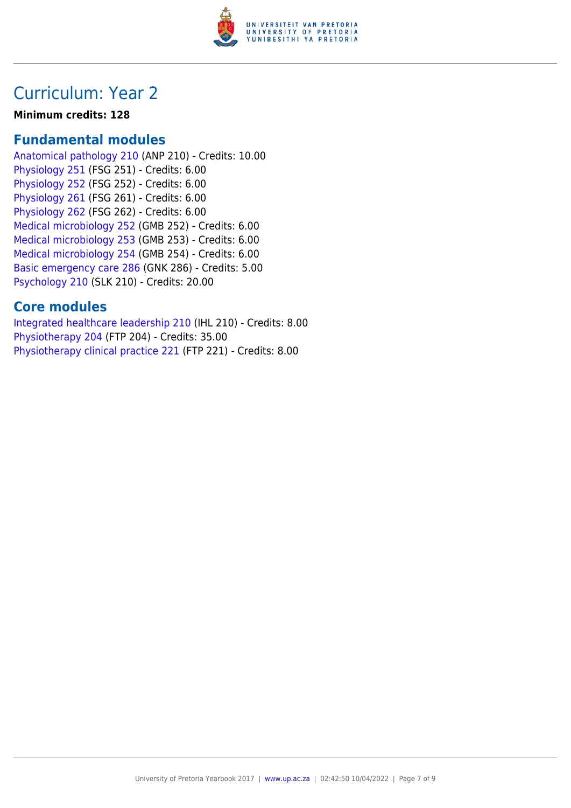

### Curriculum: Year 2

#### **Minimum credits: 128**

### **Fundamental modules**

[Anatomical pathology 210](https://www.up.ac.za/yearbooks/2017/modules/view/ANP 210) (ANP 210) - Credits: 10.00 [Physiology 251](https://www.up.ac.za/yearbooks/2017/modules/view/FSG 251) (FSG 251) - Credits: 6.00 [Physiology 252](https://www.up.ac.za/yearbooks/2017/modules/view/FSG 252) (FSG 252) - Credits: 6.00 [Physiology 261](https://www.up.ac.za/yearbooks/2017/modules/view/FSG 261) (FSG 261) - Credits: 6.00 [Physiology 262](https://www.up.ac.za/yearbooks/2017/modules/view/FSG 262) (FSG 262) - Credits: 6.00 [Medical microbiology 252](https://www.up.ac.za/yearbooks/2017/modules/view/GMB 252) (GMB 252) - Credits: 6.00 [Medical microbiology 253](https://www.up.ac.za/yearbooks/2017/modules/view/GMB 253) (GMB 253) - Credits: 6.00 [Medical microbiology 254](https://www.up.ac.za/yearbooks/2017/modules/view/GMB 254) (GMB 254) - Credits: 6.00 [Basic emergency care 286](https://www.up.ac.za/yearbooks/2017/modules/view/GNK 286) (GNK 286) - Credits: 5.00 [Psychology 210](https://www.up.ac.za/yearbooks/2017/modules/view/SLK 210) (SLK 210) - Credits: 20.00

### **Core modules**

[Integrated healthcare leadership 210](https://www.up.ac.za/yearbooks/2017/modules/view/IHL 210) (IHL 210) - Credits: 8.00 [Physiotherapy 204](https://www.up.ac.za/yearbooks/2017/modules/view/FTP 204) (FTP 204) - Credits: 35.00 [Physiotherapy clinical practice 221](https://www.up.ac.za/yearbooks/2017/modules/view/FTP 221) (FTP 221) - Credits: 8.00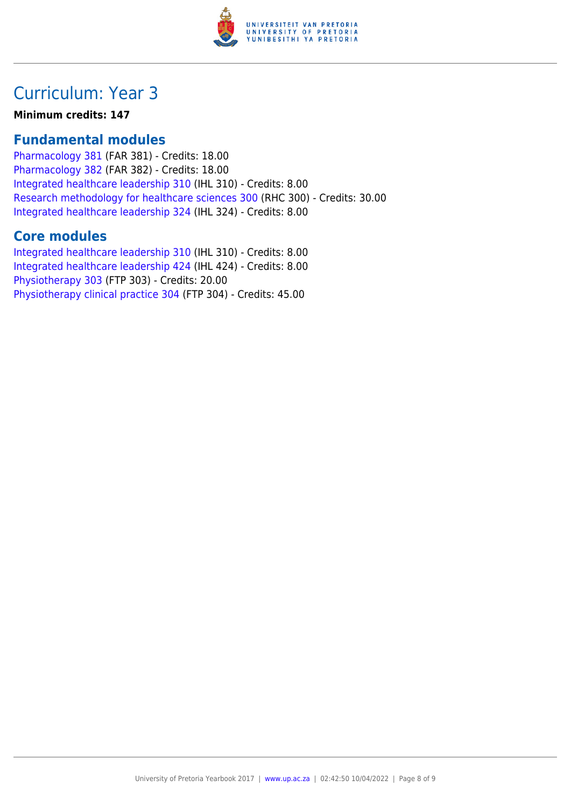

# Curriculum: Year 3

**Minimum credits: 147**

### **Fundamental modules**

[Pharmacology 381](https://www.up.ac.za/yearbooks/2017/modules/view/FAR 381) (FAR 381) - Credits: 18.00 [Pharmacology 382](https://www.up.ac.za/yearbooks/2017/modules/view/FAR 382) (FAR 382) - Credits: 18.00 [Integrated healthcare leadership 310](https://www.up.ac.za/yearbooks/2017/modules/view/IHL 310) (IHL 310) - Credits: 8.00 [Research methodology for healthcare sciences 300](https://www.up.ac.za/yearbooks/2017/modules/view/RHC 300) (RHC 300) - Credits: 30.00 [Integrated healthcare leadership 324](https://www.up.ac.za/yearbooks/2017/modules/view/IHL 324) (IHL 324) - Credits: 8.00

### **Core modules**

[Integrated healthcare leadership 310](https://www.up.ac.za/yearbooks/2017/modules/view/IHL 310) (IHL 310) - Credits: 8.00 [Integrated healthcare leadership 424](https://www.up.ac.za/yearbooks/2017/modules/view/IHL 424) (IHL 424) - Credits: 8.00 [Physiotherapy 303](https://www.up.ac.za/yearbooks/2017/modules/view/FTP 303) (FTP 303) - Credits: 20.00 [Physiotherapy clinical practice 304](https://www.up.ac.za/yearbooks/2017/modules/view/FTP 304) (FTP 304) - Credits: 45.00